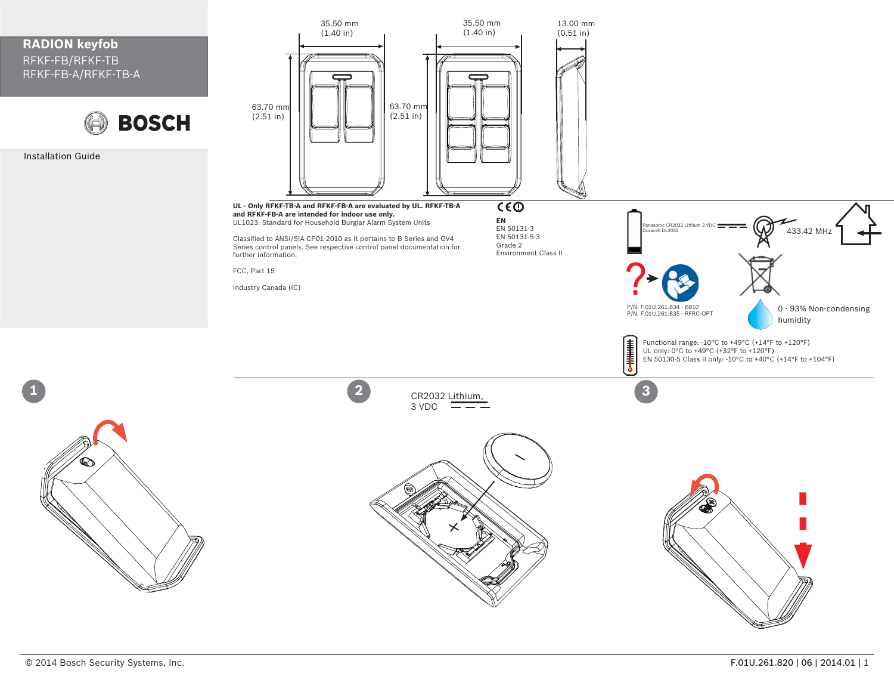